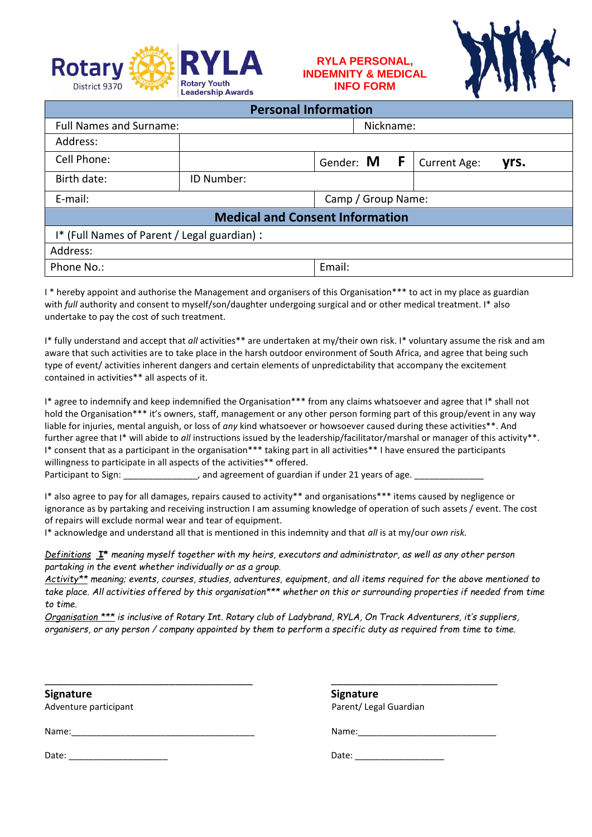

## **RYLA PERSONAL, INDEMNITY & MEDICAL INFO FORM**



| <b>Personal Information</b>                  |            |                    |           |              |      |  |
|----------------------------------------------|------------|--------------------|-----------|--------------|------|--|
| <b>Full Names and Surname:</b>               |            |                    | Nickname: |              |      |  |
| Address:                                     |            |                    |           |              |      |  |
| Cell Phone:                                  |            | Gender: M<br>F     |           | Current Age: | yrs. |  |
| Birth date:                                  | ID Number: |                    |           |              |      |  |
| E-mail:                                      |            | Camp / Group Name: |           |              |      |  |
| <b>Medical and Consent Information</b>       |            |                    |           |              |      |  |
| I* (Full Names of Parent / Legal guardian) : |            |                    |           |              |      |  |
| Address:                                     |            |                    |           |              |      |  |
| Phone No.:                                   |            | Email:             |           |              |      |  |

I \* hereby appoint and authorise the Management and organisers of this Organisation\*\*\* to act in my place as guardian with *full* authority and consent to myself/son/daughter undergoing surgical and or other medical treatment. I\* also undertake to pay the cost of such treatment.

I\* fully understand and accept that *all* activities\*\* are undertaken at my/their own risk. I\* voluntary assume the risk and am aware that such activities are to take place in the harsh outdoor environment of South Africa, and agree that being such type of event/ activities inherent dangers and certain elements of unpredictability that accompany the excitement contained in activities\*\* all aspects of it.

I\* agree to indemnify and keep indemnified the Organisation\*\*\* from any claims whatsoever and agree that I\* shall not hold the Organisation\*\*\* it's owners, staff, management or any other person forming part of this group/event in any way liable for injuries, mental anguish, or loss of *any* kind whatsoever or howsoever caused during these activities\*\*. And further agree that I<sup>\*</sup> will abide to *all* instructions issued by the leadership/facilitator/marshal or manager of this activity<sup>\*\*</sup>. I\* consent that as a participant in the organisation\*\*\* taking part in all activities\*\* I have ensured the participants willingness to participate in all aspects of the activities\*\* offered.

Participant to Sign:  $\qquad \qquad$ , and agreement of guardian if under 21 years of age.

I\* also agree to pay for all damages, repairs caused to activity\*\* and organisations\*\*\* items caused by negligence or ignorance as by partaking and receiving instruction I am assuming knowledge of operation of such assets / event. The cost of repairs will exclude normal wear and tear of equipment.

I\* acknowledge and understand all that is mentioned in this indemnity and that *all* is at my/our *own risk.*

*Definitions* **I\*** *meaning myself together with my heirs, executors and administrator, as well as any other person partaking in the event whether individually or as a group.*

*Activity\*\* meaning; events, courses, studies, adventures, equipment, and all items required for the above mentioned to take place. All activities offered by this organisation\*\*\* whether on this or surrounding properties if needed from time to time.*

*Organisation \*\*\* is inclusive of Rotary Int. Rotary club of Ladybrand, RYLA, On Track Adventurers, it's suppliers, organisers, or any person / company appointed by them to perform a specific duty as required from time to time.*

\_\_\_\_\_\_\_\_\_\_\_\_\_\_\_\_\_\_\_\_\_\_\_\_\_\_\_\_\_\_\_\_\_\_\_ \_\_\_\_\_\_\_\_\_\_\_\_\_\_\_\_\_\_\_\_\_\_\_\_\_\_\_\_

**Signature Signature**

Adventure participant example and the example of the Parent/ Legal Guardian example and Parent/ Legal Guardian

Name:\_\_\_\_\_\_\_\_\_\_\_\_\_\_\_\_\_\_\_\_\_\_\_\_\_\_\_\_\_\_\_\_\_\_\_\_\_ Name:\_\_\_\_\_\_\_\_\_\_\_\_\_\_\_\_\_\_\_\_\_\_\_\_\_\_\_\_

Date: \_\_\_\_\_\_\_\_\_\_\_\_\_\_\_\_\_\_\_\_ Date: \_\_\_\_\_\_\_\_\_\_\_\_\_\_\_\_\_\_